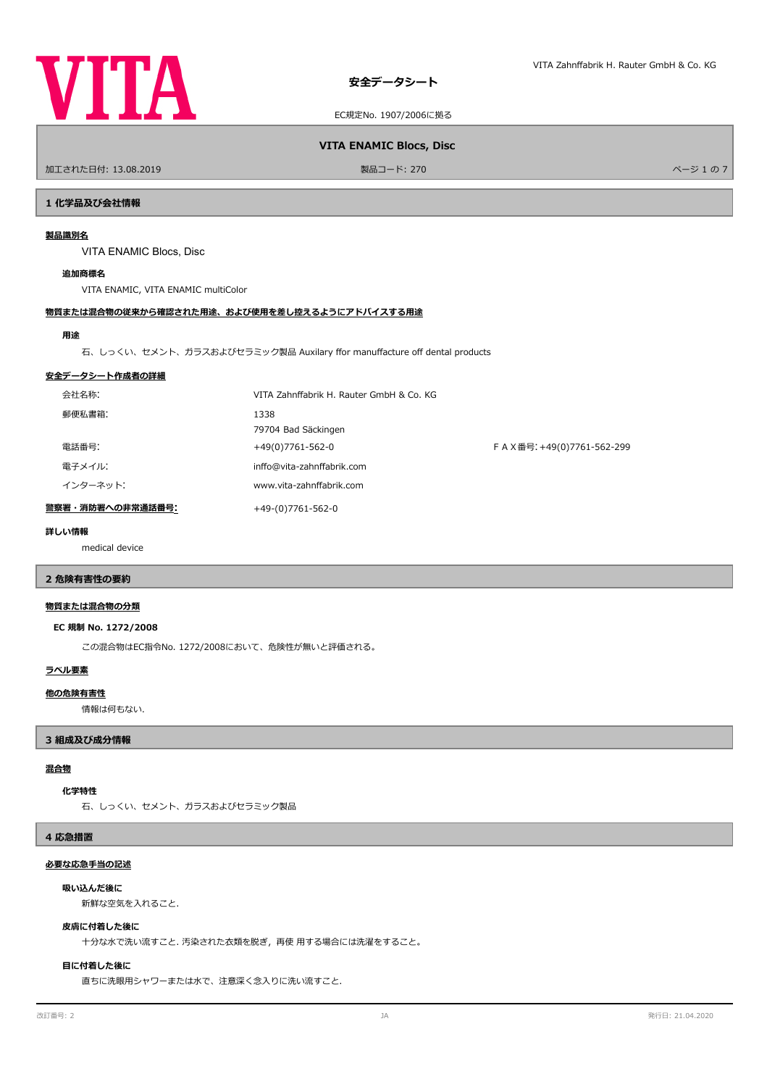

EC規定No. 1907/2006に拠る

ールエされた日付: 13.08.2019 しかい こうしょう おおとこ かんきょう かんきょう 製品コード: 270 しかい こうしょう アイ・エム アイ・エム アイ・ジューの 7

**VITA ENAMIC Blocs, Disc**

# **1 化学品及び会社情報**

# **製品識別名**

VITA ENAMIC Blocs, Disc

# **追加商標名**

VITA ENAMIC, VITA ENAMIC multiColor

# **物質または混合物の従来から確認された用途、および使用を差し控えるようにアドバイスする用途**

### **用途**

石、しっくい、セメント、ガラスおよびセラミック製品 Auxilary for manufacture of dental products

### **安全データシート作成者の詳細**

| 会社名称:            | VITA Zahnffabrik H. Rauter GmbH & Co. KG |                             |
|------------------|------------------------------------------|-----------------------------|
| 郵便私書箱:           | 1338<br>79704 Bad Säckingen              |                             |
| 電話番号:            | +49(0)7761-562-0                         | F A X番号: +49(0)7761-562-299 |
| 電子メイル:           | inffo@vita-zahnffabrik.com               |                             |
| インターネット:         | www.vita-zahnffabrik.com                 |                             |
| 警察署・消防署への非常通話番号: | +49-(0)7761-562-0                        |                             |

### **詳しい情報**

medical device

# **2 危険有害性の要約**

### **物質または混合物の分類**

### **EC 規制 No. 1272/2008**

この混合物はEC指令No. 1272/2008において、危険性が無いと評価される。

### **ラベル要素**

### **他の危険有害性**

情報は何もない.

# **3 組成及び成分情報**

# **混合物**

### **化学特性**

石、しっくい、セメント、ガラスおよびセラミック製品

### **4 応急措置**

### **必要な応急手当の記述**

### **吸い込んだ後に**

新鮮な空気を入れること.

### **皮膚に付着した後に**

十分な水で洗い流すこと. 汚染された衣類を脱ぎ,再使 用する場合には洗濯をすること。

# **目に付着した後に**

直ちに洗眼用シャワーまたは水で、注意深く念入りに洗い流すこと.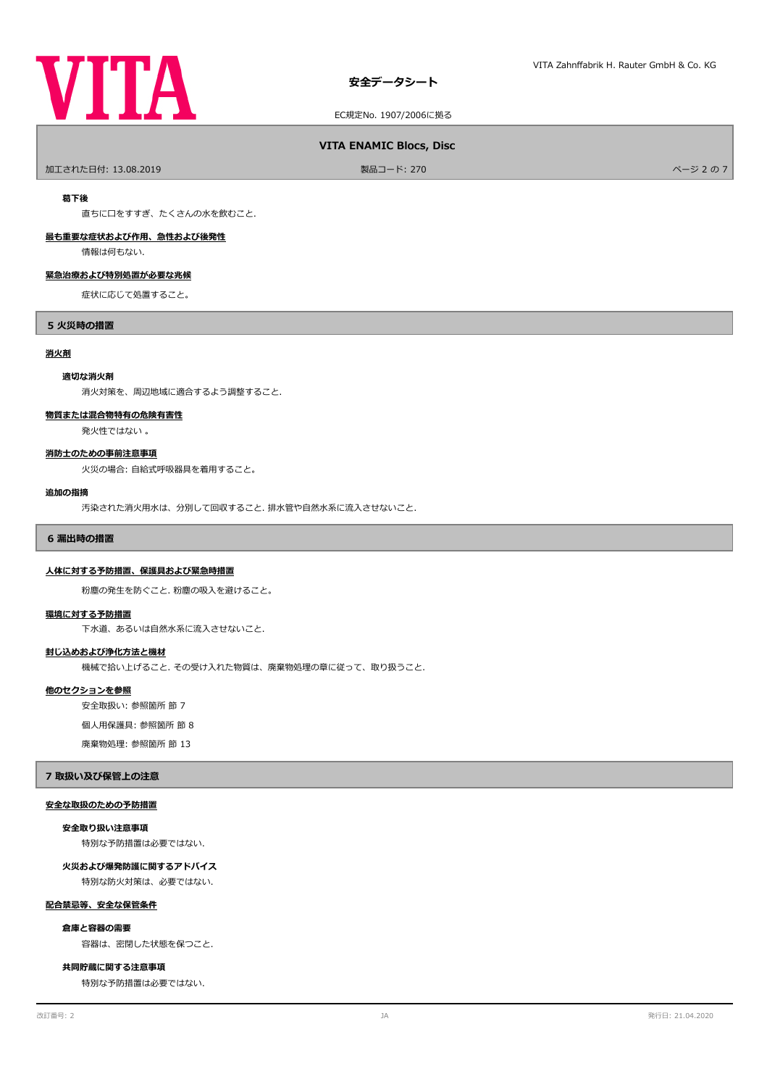# **VITA**

EC規定No. 1907/2006に拠る

# **VITA ENAMIC Blocs, Disc**

ールエされた日付: 13.08.2019 しかい こうしょう おおとこ かんきょう かんきょう 製品コード: 270 しかい こうしょう アイ・エム アイ・エム アイ・ジュ の 7 しかい パージュ の 7

### **葛下後**

直ちに口をすすぎ、たくさんの水を飲むこと.

# **最も重要な症状および作用、急性および後発性**

情報は何もない.

# **緊急治療および特別処置が必要な兆候**

症状に応じて処置すること。

### **5 火災時の措置**

#### **消火剤**

### **適切な消火剤**

消火対策を、周辺地域に適合するよう調整すること.

# **物質または混合物特有の危険有害性**

発火性ではない 。

### **消防士のための事前注意事項**

火災の場合: 自給式呼吸器具を着用すること。

#### **追加の指摘**

汚染された消火用水は、分別して回収すること. 排水管や自然水系に流入させないこと.

### **6 漏出時の措置**

### **人体に対する予防措置、保護具および緊急時措置**

粉塵の発生を防ぐこと. 粉塵の吸入を避けること。

### **環境に対する予防措置**

下水道、あるいは自然水系に流入させないこと.

### **封じ込めおよび浄化方法と機材**

機械で拾い上げること. その受け入れた物質は、廃棄物処理の章に従って、取り扱うこと.

### **他のセクションを参照**

安全取扱い: 参照箇所 節 7

個人用保護具: 参照箇所 節 8

廃棄物処理: 参照箇所 節 13

# **7 取扱い及び保管上の注意**

### **安全な取扱のための予防措置**

### **安全取り扱い注意事項**

特別な予防措置は必要ではない.

### **火災および爆発防護に関するアドバイス**

特別な防火対策は、必要ではない.

### **配合禁忌等、安全な保管条件**

# **倉庫と容器の需要**

容器は、密閉した状態を保つこと.

### **共同貯蔵に関する注意事項**

特別な予防措置は必要ではない.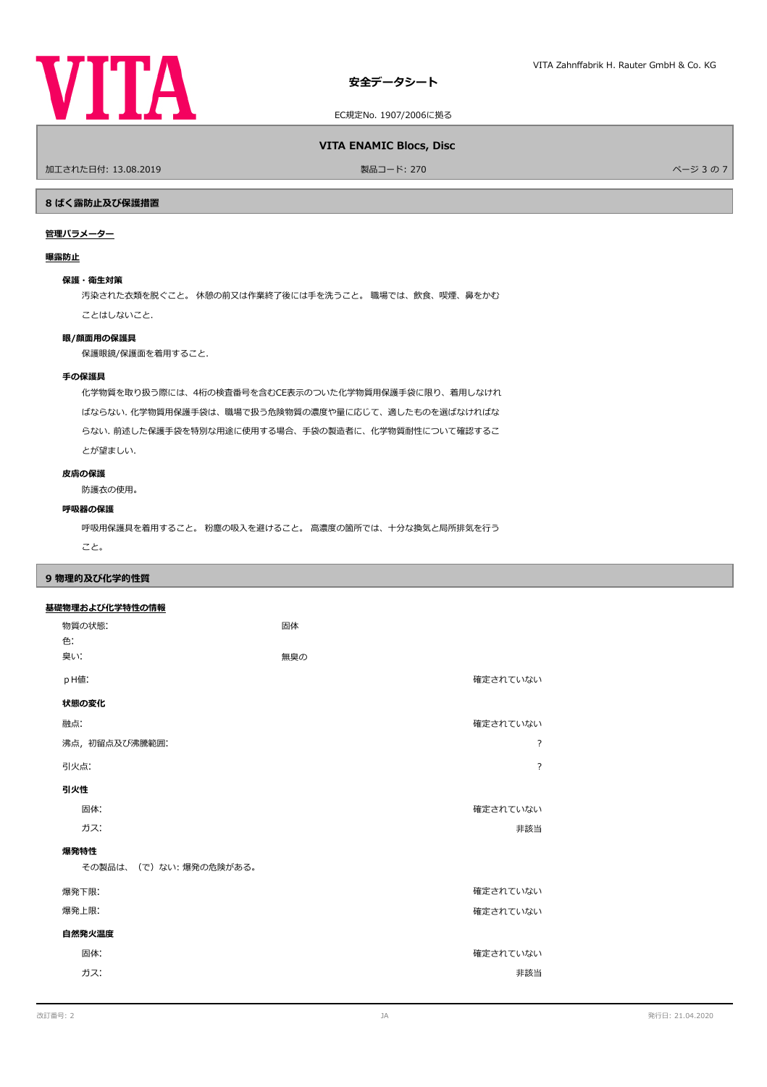

EC規定No. 1907/2006に拠る

### **VITA ENAMIC Blocs, Disc**

ールエされた日付: 13.08.2019 しかい こうしょう おおとこ かんきょう かんきょう 製品コード: 270 しかい こうしょう アイエンジェクト アイ・ジョウ ストランド パージョウ

### **8 ばく露防止及び保護措置**

# **管理パラメーター**

### **曝露防止**

# **保護・衛生対策**

汚染された衣類を脱ぐこと。 休憩の前又は作業終了後には手を洗うこと。 職場では、飲食、喫煙、鼻をかむ ことはしないこと.

### **眼/顔面用の保護具**

保護眼鏡/保護面を着用すること.

# **手の保護具**

化学物質を取り扱う際には、4桁の検査番号を含むCE表示のついた化学物質用保護手袋に限り、着用しなけれ ばならない. 化学物質用保護手袋は、職場で扱う危険物質の濃度や量に応じて、適したものを選ばなければな らない. 前述した保護手袋を特別な用途に使用する場合、手袋の製造者に、化学物質耐性について確認するこ とが望ましい.

# **皮膚の保護**

防護衣の使用。

# **呼吸器の保護**

呼吸用保護具を着用すること。 粉塵の吸入を避けること。 高濃度の箇所では、十分な換気と局所排気を行う

こと。

# **9 物理的及び化学的性質**

# **基礎物理および化学特性の情報**

| 物質の状態:<br>色:          | 固体  |                |  |  |
|-----------------------|-----|----------------|--|--|
| 臭い!                   | 無臭の |                |  |  |
| pH值:                  |     | 確定されていない       |  |  |
| 状態の変化                 |     |                |  |  |
| 融点:                   |     | 確定されていない       |  |  |
| 沸点, 初留点及び沸騰範囲:        |     | ?              |  |  |
| 引火点:                  |     | $\overline{?}$ |  |  |
| 引火性                   |     |                |  |  |
| 固体:                   |     | 確定されていない       |  |  |
| ガス:                   |     | 非該当            |  |  |
| 爆発特性                  |     |                |  |  |
| その製品は、(で)ない:爆発の危険がある。 |     |                |  |  |
| 爆発下限:                 |     | 確定されていない       |  |  |
| 爆発上限:                 |     | 確定されていない       |  |  |
| 自然発火温度                |     |                |  |  |
| 固体:                   |     | 確定されていない       |  |  |
| ガス:                   |     | 非該当            |  |  |
|                       |     |                |  |  |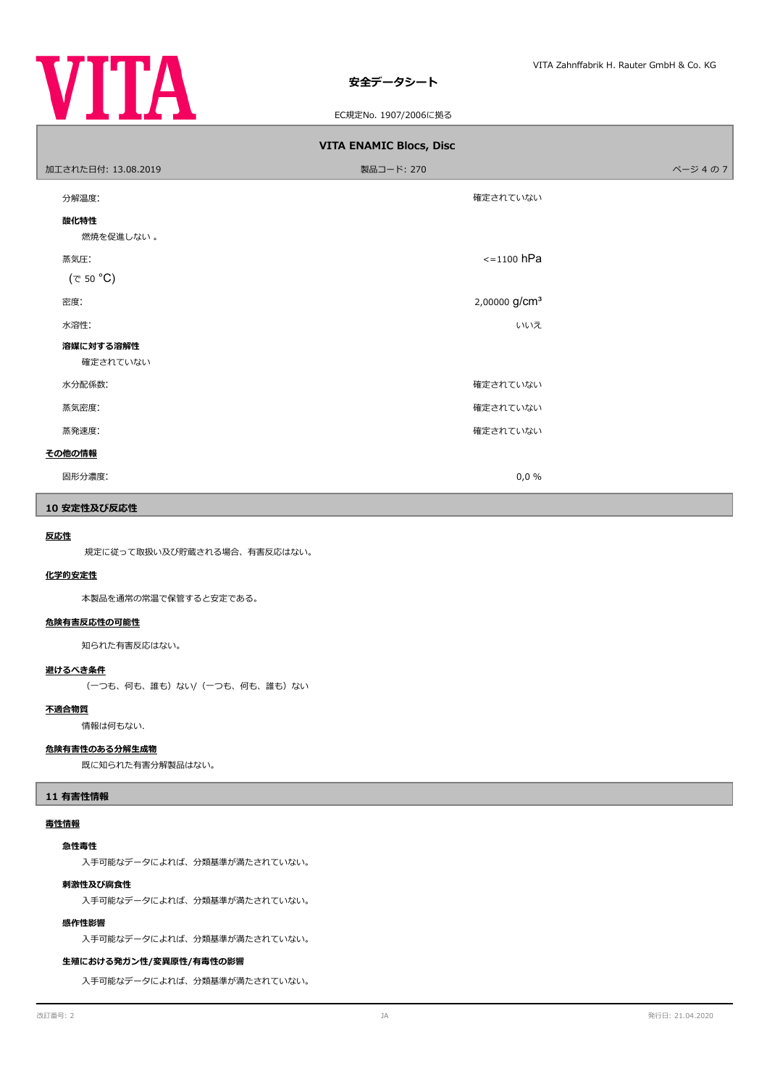

# **安全データシート**

EC規定No. 1907/2006に拠る

| <b>VITA ENAMIC Blocs, Disc</b> |                           |         |  |  |  |  |  |
|--------------------------------|---------------------------|---------|--|--|--|--|--|
| 加工された日付: 13.08.2019            | 製品コード: 270                | ページ 4の7 |  |  |  |  |  |
| 分解温度:                          | 確定されていない                  |         |  |  |  |  |  |
| 酸化特性<br>燃焼を促進しない。              |                           |         |  |  |  |  |  |
| 蒸気圧:                           | $\le$ =1100 hPa           |         |  |  |  |  |  |
| $(\tau$ 50 °C)                 |                           |         |  |  |  |  |  |
| 密度:                            | 2,00000 g/cm <sup>3</sup> |         |  |  |  |  |  |
| 水溶性:                           | いいえ                       |         |  |  |  |  |  |
| 溶媒に対する溶解性<br>確定されていない          |                           |         |  |  |  |  |  |
| 水分配係数:                         | 確定されていない                  |         |  |  |  |  |  |
| 蒸気密度:                          | 確定されていない                  |         |  |  |  |  |  |
| 蒸発速度:                          | 確定されていない                  |         |  |  |  |  |  |
| その他の情報                         |                           |         |  |  |  |  |  |
| 固形分濃度:                         | 0,0%                      |         |  |  |  |  |  |

# **10 安定性及び反応性**

### **反応性**

規定に従って取扱い及び貯蔵される場合、有害反応はない。

# **化学的安定性**

本製品を通常の常温で保管すると安定である。

# **危険有害反応性の可能性**

知られた有害反応はない。

# **避けるべき条件**

(一つも、何も、誰も)ない/(一つも、何も、誰も)ない

### **不適合物質**

情報は何もない.

# **危険有害性のある分解生成物**

既に知られた有害分解製品はない。

# **11 有害性情報**

### **毒性情報**

### **急性毒性**

入手可能なデータによれば、分類基準が満たされていない。

### **刺激性及び腐食性**

入手可能なデータによれば、分類基準が満たされていない。

### **感作性影響**

入手可能なデータによれば、分類基準が満たされていない。

### **生殖における発ガン性/変異原性/有毒性の影響**

入手可能なデータによれば、分類基準が満たされていない。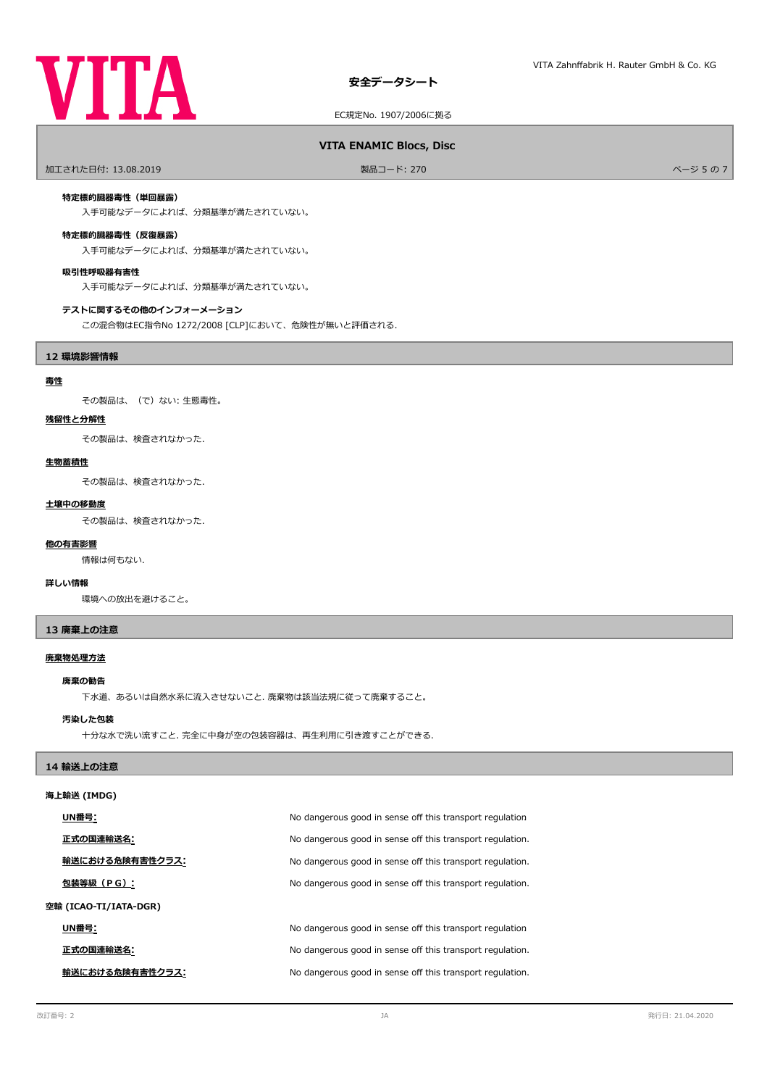

EC規定No. 1907/2006に拠る

# **VITA ENAMIC Blocs, Disc**

ールエされた日付: 13.08.2019 しかい こうしょう おおとこ かんきょう かんきょう 製品コード: 270 しかい こうしょう アイエンジェクト アイ・ショップ パージ 5 の 7

### **特定標的臓器毒性(単回暴露)**

入手可能なデータによれば、分類基準が満たされていない。

# **特定標的臓器毒性(反復暴露)**

入手可能なデータによれば、分類基準が満たされていない。

### **吸引性呼吸器有害性**

入手可能なデータによれば、分類基準が満たされていない。

### **テストに関するその他のインフォーメーション**

この混合物はEC指令No 1272/2008 [CLP]において、危険性が無いと評価される.

### **12 環境影響情報**

# **毒性**

その製品は、(で)ない: 生態毒性。

### **残留性と分解性**

その製品は、検査されなかった.

### **生物蓄積性**

その製品は、検査されなかった.

### **土壌中の移動度**

その製品は、検査されなかった.

# 情報は何もない. **他の有害影響**

### **詳しい情報**

環境への放出を避けること。

### **13 廃棄上の注意**

### **廃棄物処理方法**

### **廃棄の勧告**

下水道、あるいは自然水系に流入させないこと. 廃棄物は該当法規に従って廃棄すること。

### **汚染した包装**

十分な水で洗い流すこと. 完全に中身が空の包装容器は、再生利用に引き渡すことができる.

# **14 輸送上の注意**

# **海上輸送 (IMDG)**

|                       | UN番号:           | No dangerous good in sense off this transport regulation  |
|-----------------------|-----------------|-----------------------------------------------------------|
|                       | 正式の国連輸送名:       | No dangerous good in sense off this transport regulation. |
|                       | 輸送における危険有害性クラス: | No dangerous good in sense off this transport regulation. |
|                       | 包装等級(PG):       | No dangerous good in sense off this transport regulation. |
| 空輸 (ICAO-TI/IATA-DGR) |                 |                                                           |
|                       | UN番号:           | No dangerous good in sense off this transport regulation  |
|                       | 正式の国連輸送名:       | No dangerous good in sense off this transport regulation. |
|                       | 輸送における危険有害性クラス: | No dangerous good in sense off this transport regulation. |
|                       |                 |                                                           |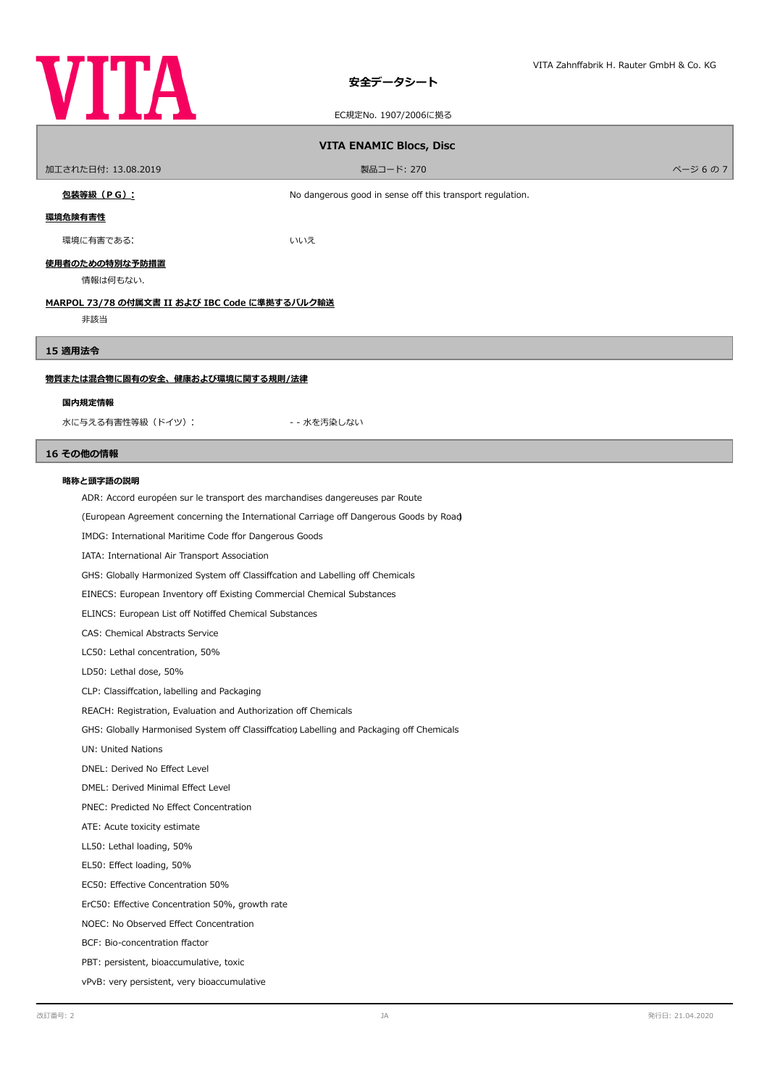

# **安全データシート**

EC規定No. 1907/2006に拠る

| <b>VITA ENAMIC Blocs, Disc</b>                |                                                           |        |  |  |
|-----------------------------------------------|-----------------------------------------------------------|--------|--|--|
| 加工された日付: 13.08.2019                           | 製品コード: 270                                                | ページ6の7 |  |  |
| 包装等級 (PG):                                    | No dangerous good in sense off this transport regulation. |        |  |  |
| 環境危険有害性                                       |                                                           |        |  |  |
| 環境に有害である:                                     | いいえ                                                       |        |  |  |
| 使用者のための特別な予防措置<br>情報は何もない.                    |                                                           |        |  |  |
| MARPOL 73/78 の付属文書 II および IBC Code に準拠するバルク輸送 |                                                           |        |  |  |
| 非該当                                           |                                                           |        |  |  |
| 15 適用法令                                       |                                                           |        |  |  |
| 物質または混合物に固有の安全、健康および環境に関する規則/法律               |                                                           |        |  |  |
| 国内規定情報                                        |                                                           |        |  |  |
| 水に与える有害性等級 (ドイツ):                             | - - 水を汚染しない                                               |        |  |  |

# **16 その他の情報**

### **略称と頭字語の説明**

ADR: Accord européen sur le transport des marchandises dangereuses par Route

(European Agreement concerning the International Carriage of Dangerous Goods by Road)

IMDG: International Maritime Code ffor Dangerous Goods

IATA: International Air Transport Association

GHS: Globally Harmonized System off Classiffcation and Labelling off Chemicals

EINECS: European Inventory off Existing Commercial Chemical Substances

ELINCS: European List off Notiffed Chemical Substances

CAS: Chemical Abstracts Service

LC50: Lethal concentration, 50%

LD50: Lethal dose, 50%

CLP: Classifcation, labelling and Packaging

REACH: Registration, Evaluation and Authorization off Chemicals

GHS: Globally Harmonised System off Classiffcation Labelling and Packaging off Chemicals

UN: United Nations

DNEL: Derived No Efect Level

DMEL: Derived Minimal Efect Level

PNEC: Predicted No Efect Concentration

ATE: Acute toxicity estimate

LL50: Lethal loading, 50%

EL50: Efect loading, 50%

EC50: Efective Concentration 50%

ErC50: Efective Concentration 50%, growth rate

NOEC: No Observed Efect Concentration

BCF: Bio-concentration factor

PBT: persistent, bioaccumulative, toxic

vPvB: very persistent, very bioaccumulative